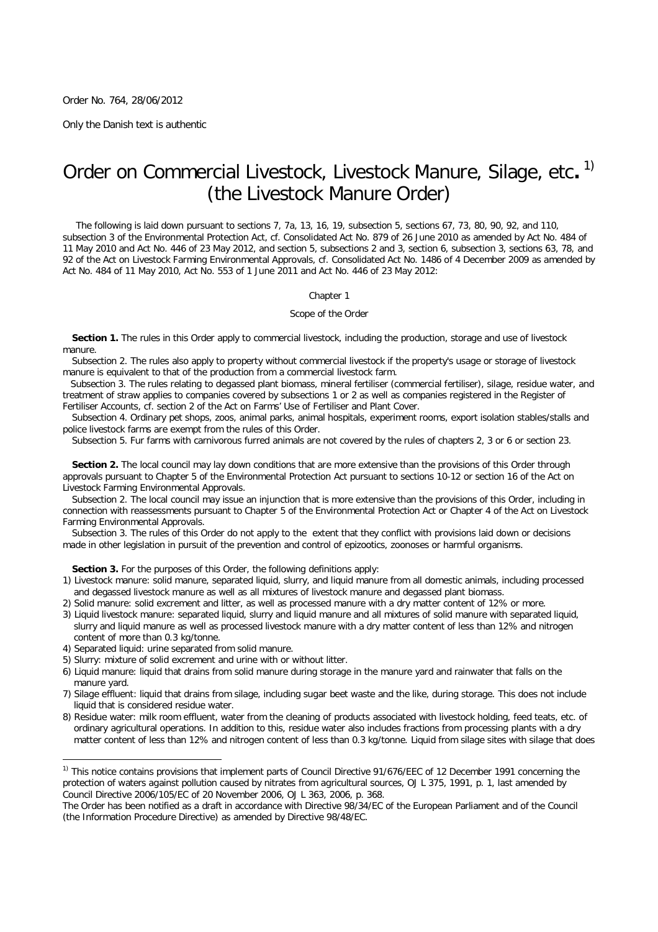Order No. 764, 28/06/2012

*Only the Danish text is authentic*

# Order on Commercial Livestock, Livestock Manure, Silage, etc**.** 1) (the Livestock Manure Order)

The following is laid down pursuant to sections 7, 7a, 13, 16, 19, subsection 5, sections 67, 73, 80, 90, 92, and 110, subsection 3 of the Environmental Protection Act, cf. Consolidated Act No. 879 of 26 June 2010 as amended by Act No. 484 of 11 May 2010 and Act No. 446 of 23 May 2012, and section 5, subsections 2 and 3, section 6, subsection 3, sections 63, 78, and 92 of the Act on Livestock Farming Environmental Approvals, cf. Consolidated Act No. 1486 of 4 December 2009 as amended by Act No. 484 of 11 May 2010, Act No. 553 of 1 June 2011 and Act No. 446 of 23 May 2012:

# Chapter 1

*Scope of the Order*

**Section 1.** The rules in this Order apply to commercial livestock, including the production, storage and use of livestock manure.

*Subsection 2.* The rules also apply to property without commercial livestock if the property's usage or storage of livestock manure is equivalent to that of the production from a commercial livestock farm.

*Subsection 3.* The rules relating to degassed plant biomass, mineral fertiliser (commercial fertiliser), silage, residue water, and treatment of straw applies to companies covered by subsections 1 or 2 as well as companies registered in the Register of Fertiliser Accounts, cf. section 2 of the Act on Farms' Use of Fertiliser and Plant Cover.

*Subsection 4.* Ordinary pet shops, zoos, animal parks, animal hospitals, experiment rooms, export isolation stables/stalls and police livestock farms are exempt from the rules of this Order.

*Subsection 5.* Fur farms with carnivorous furred animals are not covered by the rules of chapters 2, 3 or 6 or section 23.

**Section 2.** The local council may lay down conditions that are more extensive than the provisions of this Order through approvals pursuant to Chapter 5 of the Environmental Protection Act pursuant to sections 10-12 or section 16 of the Act on Livestock Farming Environmental Approvals.

*Subsection 2.* The local council may issue an injunction that is more extensive than the provisions of this Order, including in connection with reassessments pursuant to Chapter 5 of the Environmental Protection Act or Chapter 4 of the Act on Livestock Farming Environmental Approvals.

*Subsection 3*. The rules of this Order do not apply to the extent that they conflict with provisions laid down or decisions made in other legislation in pursuit of the prevention and control of epizootics, zoonoses or harmful organisms.

**Section 3.** For the purposes of this Order, the following definitions apply:

- 1) Livestock manure: solid manure, separated liquid, slurry, and liquid manure from all domestic animals, including processed and degassed livestock manure as well as all mixtures of livestock manure and degassed plant biomass.
- 2) Solid manure: solid excrement and litter, as well as processed manure with a dry matter content of 12% or more.
- 3) Liquid livestock manure: separated liquid, slurry and liquid manure and all mixtures of solid manure with separated liquid, slurry and liquid manure as well as processed livestock manure with a dry matter content of less than 12% and nitrogen content of more than 0.3 kg/tonne.
- 4) Separated liquid: urine separated from solid manure.

 $\overline{a}$ 

- 5) Slurry: mixture of solid excrement and urine with or without litter.
- 6) Liquid manure: liquid that drains from solid manure during storage in the manure yard and rainwater that falls on the manure yard.
- 7) Silage effluent: liquid that drains from silage, including sugar beet waste and the like, during storage. This does not include liquid that is considered residue water.
- 8) Residue water: milk room effluent, water from the cleaning of products associated with livestock holding, feed teats, etc. of ordinary agricultural operations. In addition to this, residue water also includes fractions from processing plants with a dry matter content of less than 12% and nitrogen content of less than 0.3 kg/tonne. Liquid from silage sites with silage that does

<sup>&</sup>lt;sup>1)</sup> This notice contains provisions that implement parts of Council Directive 91/676/EEC of 12 December 1991 concerning the protection of waters against pollution caused by nitrates from agricultural sources, OJ L 375, 1991, p. 1, last amended by Council Directive 2006/105/EC of 20 November 2006, OJ L 363, 2006, p. 368.

The Order has been notified as a draft in accordance with Directive 98/34/EC of the European Parliament and of the Council (the Information Procedure Directive) as amended by Directive 98/48/EC.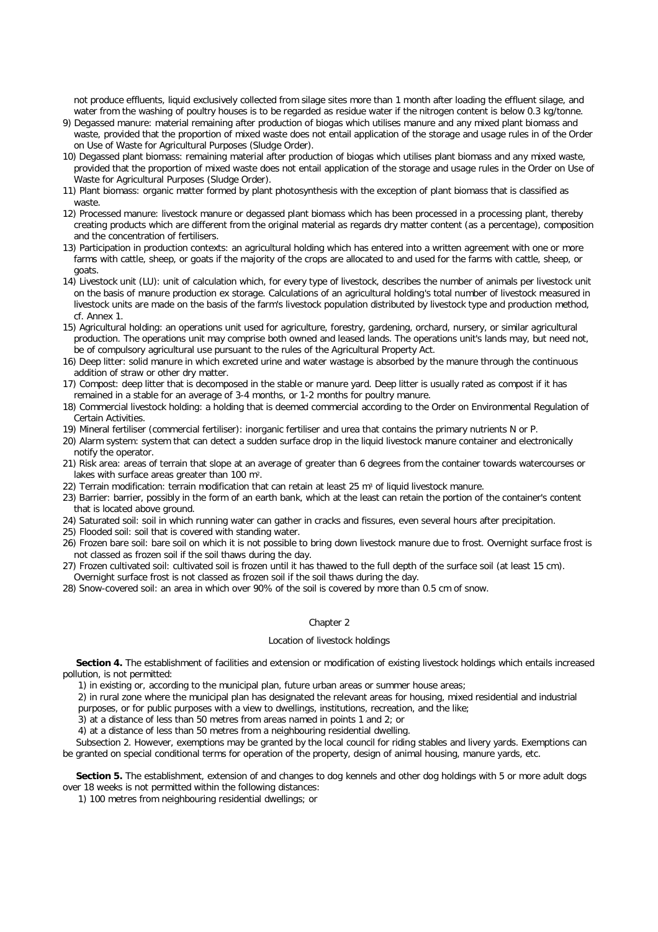not produce effluents, liquid exclusively collected from silage sites more than 1 month after loading the effluent silage, and water from the washing of poultry houses is to be regarded as residue water if the nitrogen content is below 0.3 kg/tonne.

- 9) Degassed manure: material remaining after production of biogas which utilises manure and any mixed plant biomass and waste, provided that the proportion of mixed waste does not entail application of the storage and usage rules in of the Order on Use of Waste for Agricultural Purposes (Sludge Order).
- 10) Degassed plant biomass: remaining material after production of biogas which utilises plant biomass and any mixed waste, provided that the proportion of mixed waste does not entail application of the storage and usage rules in the Order on Use of Waste for Agricultural Purposes (Sludge Order).
- 11) Plant biomass: organic matter formed by plant photosynthesis with the exception of plant biomass that is classified as waste.
- 12) Processed manure: livestock manure or degassed plant biomass which has been processed in a processing plant, thereby creating products which are different from the original material as regards dry matter content (as a percentage), composition and the concentration of fertilisers.
- 13) Participation in production contexts: an agricultural holding which has entered into a written agreement with one or more farms with cattle, sheep, or goats if the majority of the crops are allocated to and used for the farms with cattle, sheep, or goats.
- 14) Livestock unit (LU): unit of calculation which, for every type of livestock, describes the number of animals per livestock unit on the basis of manure production ex storage. Calculations of an agricultural holding's total number of livestock measured in livestock units are made on the basis of the farm's livestock population distributed by livestock type and production method, cf. Annex 1.
- 15) Agricultural holding: an operations unit used for agriculture, forestry, gardening, orchard, nursery, or similar agricultural production. The operations unit may comprise both owned and leased lands. The operations unit's lands may, but need not, be of compulsory agricultural use pursuant to the rules of the Agricultural Property Act.
- 16) Deep litter: solid manure in which excreted urine and water wastage is absorbed by the manure through the continuous addition of straw or other dry matter.
- 17) Compost: deep litter that is decomposed in the stable or manure yard. Deep litter is usually rated as compost if it has remained in a stable for an average of 3-4 months, or 1-2 months for poultry manure.
- 18) Commercial livestock holding: a holding that is deemed commercial according to the Order on Environmental Regulation of Certain Activities.
- 19) Mineral fertiliser (commercial fertiliser): inorganic fertiliser and urea that contains the primary nutrients N or P.
- 20) Alarm system: system that can detect a sudden surface drop in the liquid livestock manure container and electronically notify the operator.
- 21) Risk area: areas of terrain that slope at an average of greater than 6 degrees from the container towards watercourses or lakes with surface areas greater than 100 m².
- 22) Terrain modification: terrain modification that can retain at least  $25 \text{ m}^3$  of liquid livestock manure.
- 23) Barrier: barrier, possibly in the form of an earth bank, which at the least can retain the portion of the container's content that is located above ground.
- 24) Saturated soil: soil in which running water can gather in cracks and fissures, even several hours after precipitation.
- 25) Flooded soil: soil that is covered with standing water.
- 26) Frozen bare soil: bare soil on which it is not possible to bring down livestock manure due to frost. Overnight surface frost is not classed as frozen soil if the soil thaws during the day.
- 27) Frozen cultivated soil: cultivated soil is frozen until it has thawed to the full depth of the surface soil (at least 15 cm). Overnight surface frost is not classed as frozen soil if the soil thaws during the day.
- 28) Snow-covered soil: an area in which over 90% of the soil is covered by more than 0.5 cm of snow.

# Chapter 2

# *Location of livestock holdings*

**Section 4.** The establishment of facilities and extension or modification of existing livestock holdings which entails increased pollution, is not permitted:

1) in existing or, according to the municipal plan, future urban areas or summer house areas;

2) in rural zone where the municipal plan has designated the relevant areas for housing, mixed residential and industrial purposes, or for public purposes with a view to dwellings, institutions, recreation, and the like;

3) at a distance of less than 50 metres from areas named in points 1 and 2; or

4) at a distance of less than 50 metres from a neighbouring residential dwelling.

*Subsection 2.* However, exemptions may be granted by the local council for riding stables and livery yards. Exemptions can be granted on special conditional terms for operation of the property, design of animal housing, manure yards, etc.

**Section 5.** The establishment, extension of and changes to dog kennels and other dog holdings with 5 or more adult dogs over 18 weeks is not permitted within the following distances:

1) 100 metres from neighbouring residential dwellings; or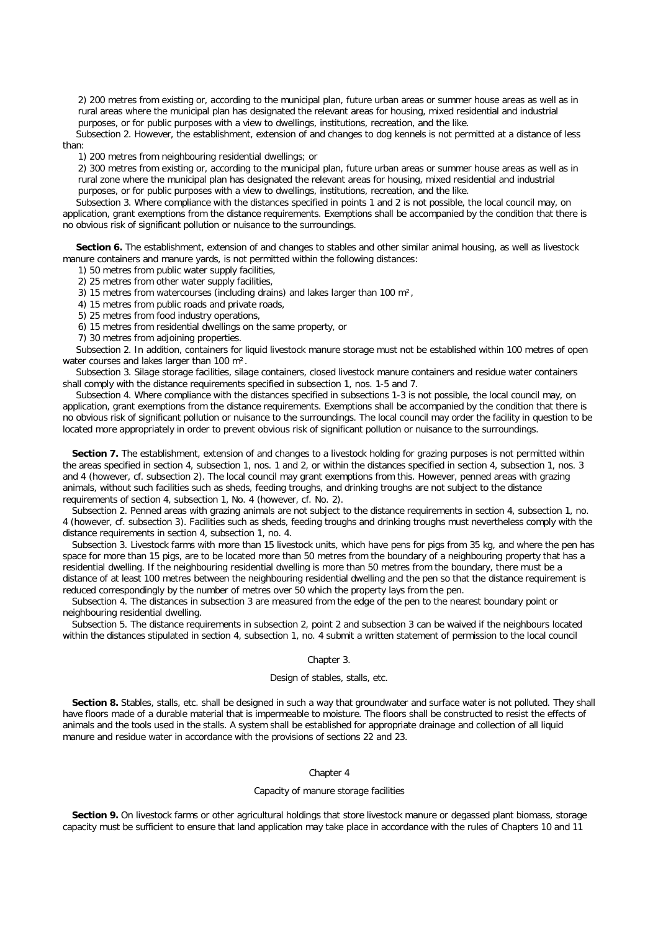2) 200 metres from existing or, according to the municipal plan, future urban areas or summer house areas as well as in rural areas where the municipal plan has designated the relevant areas for housing, mixed residential and industrial purposes, or for public purposes with a view to dwellings, institutions, recreation, and the like.

*Subsection 2.* However, the establishment, extension of and changes to dog kennels is not permitted at a distance of less than:

1) 200 metres from neighbouring residential dwellings; or

2) 300 metres from existing or, according to the municipal plan, future urban areas or summer house areas as well as in rural zone where the municipal plan has designated the relevant areas for housing, mixed residential and industrial purposes, or for public purposes with a view to dwellings, institutions, recreation, and the like.

*Subsection 3.* Where compliance with the distances specified in points 1 and 2 is not possible, the local council may, on application, grant exemptions from the distance requirements. Exemptions shall be accompanied by the condition that there is no obvious risk of significant pollution or nuisance to the surroundings.

**Section 6.** The establishment, extension of and changes to stables and other similar animal housing, as well as livestock manure containers and manure yards, is not permitted within the following distances:

1) 50 metres from public water supply facilities,

2) 25 metres from other water supply facilities,

3) 15 metres from watercourses (including drains) and lakes larger than 100 m²,

4) 15 metres from public roads and private roads,

5) 25 metres from food industry operations,

6) 15 metres from residential dwellings on the same property, or

7) 30 metres from adjoining properties.

*Subsection 2.* In addition, containers for liquid livestock manure storage must not be established within 100 metres of open water courses and lakes larger than 100 m<sup>2</sup>.

*Subsection 3.* Silage storage facilities, silage containers, closed livestock manure containers and residue water containers shall comply with the distance requirements specified in subsection 1, nos. 1-5 and 7.

*Subsection 4.* Where compliance with the distances specified in subsections 1-3 is not possible, the local council may, on application, grant exemptions from the distance requirements. Exemptions shall be accompanied by the condition that there is no obvious risk of significant pollution or nuisance to the surroundings. The local council may order the facility in question to be located more appropriately in order to prevent obvious risk of significant pollution or nuisance to the surroundings.

**Section 7.** The establishment, extension of and changes to a livestock holding for grazing purposes is not permitted within the areas specified in section 4, subsection 1, nos. 1 and 2, or within the distances specified in section 4, subsection 1, nos. 3 and 4 (however, cf. subsection 2). The local council may grant exemptions from this. However, penned areas with grazing animals, without such facilities such as sheds, feeding troughs, and drinking troughs are not subject to the distance requirements of section 4, subsection 1, No. 4 (however, cf. No. 2).

*Subsection 2.* Penned areas with grazing animals are not subject to the distance requirements in section 4, subsection 1, no. 4 (however, cf. subsection 3). Facilities such as sheds, feeding troughs and drinking troughs must nevertheless comply with the distance requirements in section 4, subsection 1, no. 4.

*Subsection 3.* Livestock farms with more than 15 livestock units, which have pens for pigs from 35 kg, and where the pen has space for more than 15 pigs, are to be located more than 50 metres from the boundary of a neighbouring property that has a residential dwelling. If the neighbouring residential dwelling is more than 50 metres from the boundary, there must be a distance of at least 100 metres between the neighbouring residential dwelling and the pen so that the distance requirement is reduced correspondingly by the number of metres over 50 which the property lays from the pen.

*Subsection 4.* The distances in subsection 3 are measured from the edge of the pen to the nearest boundary point or neighbouring residential dwelling.

*Subsection 5.* The distance requirements in subsection 2, point 2 and subsection 3 can be waived if the neighbours located within the distances stipulated in section 4, subsection 1, no. 4 submit a written statement of permission to the local council

## Chapter 3.

# *Design of stables, stalls, etc.*

**Section 8.** Stables, stalls, etc. shall be designed in such a way that groundwater and surface water is not polluted. They shall have floors made of a durable material that is impermeable to moisture. The floors shall be constructed to resist the effects of animals and the tools used in the stalls. A system shall be established for appropriate drainage and collection of all liquid manure and residue water in accordance with the provisions of sections 22 and 23.

# Chapter 4

## *Capacity of manure storage facilities*

**Section 9.** On livestock farms or other agricultural holdings that store livestock manure or degassed plant biomass, storage capacity must be sufficient to ensure that land application may take place in accordance with the rules of Chapters 10 and 11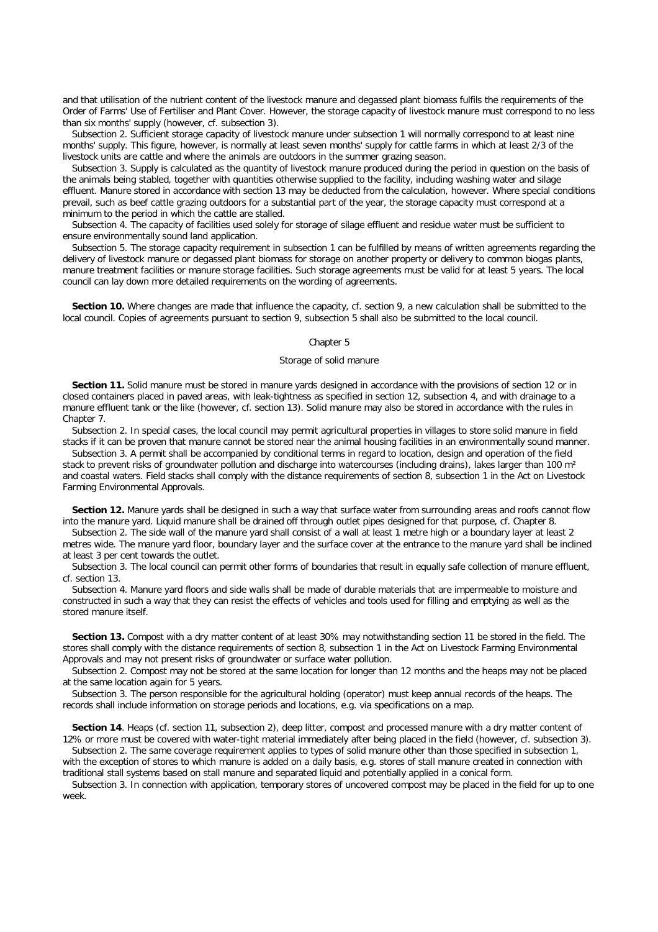and that utilisation of the nutrient content of the livestock manure and degassed plant biomass fulfils the requirements of the Order of Farms' Use of Fertiliser and Plant Cover. However, the storage capacity of livestock manure must correspond to no less than six months' supply (however, cf. subsection 3).

*Subsection 2.* Sufficient storage capacity of livestock manure under subsection 1 will normally correspond to at least nine months' supply. This figure, however, is normally at least seven months' supply for cattle farms in which at least 2/3 of the livestock units are cattle and where the animals are outdoors in the summer grazing season.

*Subsection 3.* Supply is calculated as the quantity of livestock manure produced during the period in question on the basis of the animals being stabled, together with quantities otherwise supplied to the facility, including washing water and silage effluent. Manure stored in accordance with section 13 may be deducted from the calculation, however. Where special conditions prevail, such as beef cattle grazing outdoors for a substantial part of the year, the storage capacity must correspond at a minimum to the period in which the cattle are stalled.

*Subsection 4.* The capacity of facilities used solely for storage of silage effluent and residue water must be sufficient to ensure environmentally sound land application.

*Subsection 5.* The storage capacity requirement in subsection 1 can be fulfilled by means of written agreements regarding the delivery of livestock manure or degassed plant biomass for storage on another property or delivery to common biogas plants, manure treatment facilities or manure storage facilities. Such storage agreements must be valid for at least 5 years. The local council can lay down more detailed requirements on the wording of agreements.

**Section 10.** Where changes are made that influence the capacity, cf. section 9, a new calculation shall be submitted to the local council. Copies of agreements pursuant to section 9, subsection 5 shall also be submitted to the local council.

## Chapter 5

# *Storage of solid manure*

**Section 11.** Solid manure must be stored in manure yards designed in accordance with the provisions of section 12 or in closed containers placed in paved areas, with leak-tightness as specified in section 12, subsection 4, and with drainage to a manure effluent tank or the like (however, cf. section 13). Solid manure may also be stored in accordance with the rules in Chapter 7.

*Subsection 2.* In special cases, the local council may permit agricultural properties in villages to store solid manure in field stacks if it can be proven that manure cannot be stored near the animal housing facilities in an environmentally sound manner.

*Subsection 3.* A permit shall be accompanied by conditional terms in regard to location, design and operation of the field stack to prevent risks of groundwater pollution and discharge into watercourses (including drains), lakes larger than 100 m<sup>2</sup> and coastal waters. Field stacks shall comply with the distance requirements of section 8, subsection 1 in the Act on Livestock Farming Environmental Approvals.

**Section 12.** Manure yards shall be designed in such a way that surface water from surrounding areas and roofs cannot flow into the manure yard. Liquid manure shall be drained off through outlet pipes designed for that purpose, cf. Chapter 8.

*Subsection 2.* The side wall of the manure yard shall consist of a wall at least 1 metre high or a boundary layer at least 2 metres wide. The manure yard floor, boundary layer and the surface cover at the entrance to the manure yard shall be inclined at least 3 per cent towards the outlet.

*Subsection 3.* The local council can permit other forms of boundaries that result in equally safe collection of manure effluent, cf. section 13.

*Subsection 4.* Manure yard floors and side walls shall be made of durable materials that are impermeable to moisture and constructed in such a way that they can resist the effects of vehicles and tools used for filling and emptying as well as the stored manure itself.

**Section 13.** Compost with a dry matter content of at least 30% may notwithstanding section 11 be stored in the field. The stores shall comply with the distance requirements of section 8, subsection 1 in the Act on Livestock Farming Environmental Approvals and may not present risks of groundwater or surface water pollution.

*Subsection 2*. Compost may not be stored at the same location for longer than 12 months and the heaps may not be placed at the same location again for 5 years.

*Subsection 3.* The person responsible for the agricultural holding (operator) must keep annual records of the heaps. The records shall include information on storage periods and locations, e.g. via specifications on a map.

**Section 14***.* Heaps (cf. section 11, subsection 2), deep litter, compost and processed manure with a dry matter content of 12% or more must be covered with water-tight material immediately after being placed in the field (however, cf. subsection 3).

*Subsection 2.* The same coverage requirement applies to types of solid manure other than those specified in subsection 1, with the exception of stores to which manure is added on a daily basis, e.g. stores of stall manure created in connection with traditional stall systems based on stall manure and separated liquid and potentially applied in a conical form.

*Subsection 3.* In connection with application, temporary stores of uncovered compost may be placed in the field for up to one week.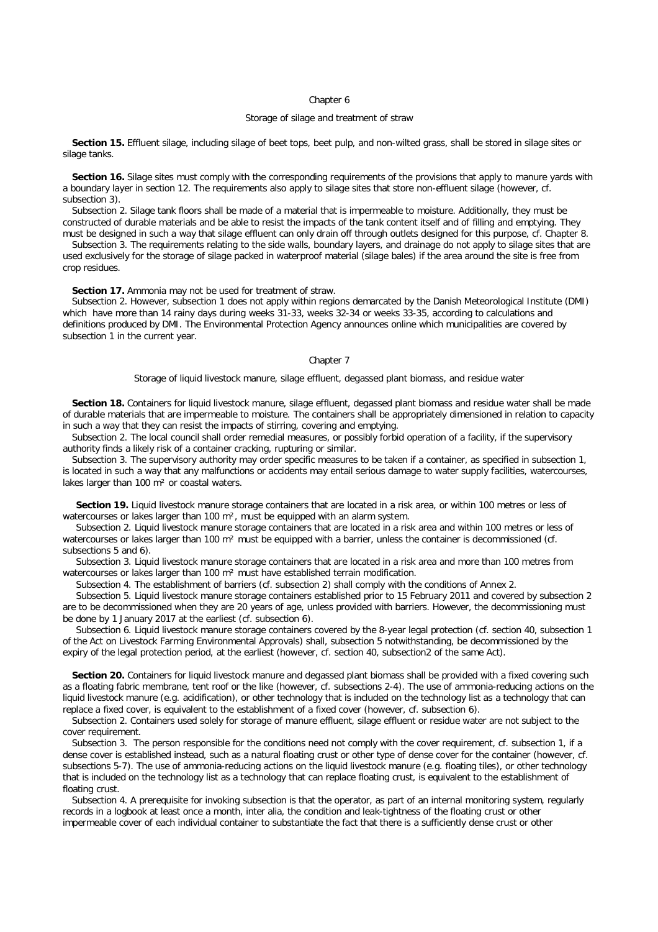#### Chapter 6

# *Storage of silage and treatment of straw*

**Section 15.** Effluent silage, including silage of beet tops, beet pulp, and non-wilted grass, shall be stored in silage sites or silage tanks.

**Section 16.** Silage sites must comply with the corresponding requirements of the provisions that apply to manure yards with a boundary layer in section 12. The requirements also apply to silage sites that store non-effluent silage (however, cf. subsection 3).

*Subsection 2.* Silage tank floors shall be made of a material that is impermeable to moisture. Additionally, they must be constructed of durable materials and be able to resist the impacts of the tank content itself and of filling and emptying. They must be designed in such a way that silage effluent can only drain off through outlets designed for this purpose, cf. Chapter 8.

*Subsection 3.* The requirements relating to the side walls, boundary layers, and drainage do not apply to silage sites that are used exclusively for the storage of silage packed in waterproof material (silage bales) if the area around the site is free from crop residues.

## **Section 17.** Ammonia may not be used for treatment of straw.

*Subsection 2.* However, subsection 1 does not apply within regions demarcated by the Danish Meteorological Institute (DMI) which have more than 14 rainy days during weeks 31-33, weeks 32-34 or weeks 33-35, according to calculations and definitions produced by DMI. The Environmental Protection Agency announces online which municipalities are covered by subsection 1 in the current year.

# Chapter 7

#### *Storage of liquid livestock manure, silage effluent, degassed plant biomass, and residue water*

**Section 18.** Containers for liquid livestock manure, silage effluent, degassed plant biomass and residue water shall be made of durable materials that are impermeable to moisture. The containers shall be appropriately dimensioned in relation to capacity in such a way that they can resist the impacts of stirring, covering and emptying.

*Subsection 2.* The local council shall order remedial measures, or possibly forbid operation of a facility, if the supervisory authority finds a likely risk of a container cracking, rupturing or similar.

*Subsection 3.* The supervisory authority may order specific measures to be taken if a container, as specified in subsection 1, is located in such a way that any malfunctions or accidents may entail serious damage to water supply facilities, watercourses, lakes larger than 100 m<sup>2</sup> or coastal waters.

**Section 19.** Liquid livestock manure storage containers that are located in a risk area, or within 100 metres or less of watercourses or lakes larger than 100 m<sup>2</sup>, must be equipped with an alarm system.

*Subsection 2.* Liquid livestock manure storage containers that are located in a risk area and within 100 metres or less of watercourses or lakes larger than 100 m<sup>2</sup> must be equipped with a barrier, unless the container is decommissioned (cf. subsections 5 and 6).

*Subsection 3.* Liquid livestock manure storage containers that are located in a risk area and more than 100 metres from watercourses or lakes larger than 100 m<sup>2</sup> must have established terrain modification.

*Subsection 4.* The establishment of barriers (cf. subsection 2) shall comply with the conditions of Annex 2.

*Subsection 5.* Liquid livestock manure storage containers established prior to 15 February 2011 and covered by subsection 2 are to be decommissioned when they are 20 years of age, unless provided with barriers. However, the decommissioning must be done by 1 January 2017 at the earliest (cf. subsection 6).

*Subsection 6.* Liquid livestock manure storage containers covered by the 8-year legal protection (cf. section 40, subsection 1 of the Act on Livestock Farming Environmental Approvals) shall, subsection 5 notwithstanding, be decommissioned by the expiry of the legal protection period, at the earliest (however, cf. section 40, subsection2 of the same Act).

**Section 20.** Containers for liquid livestock manure and degassed plant biomass shall be provided with a fixed covering such as a floating fabric membrane, tent roof or the like (however, cf. subsections 2-4). The use of ammonia-reducing actions on the liquid livestock manure (e.g. acidification), or other technology that is included on the technology list as a technology that can replace a fixed cover, is equivalent to the establishment of a fixed cover (however, cf. subsection 6).

*Subsection 2*. Containers used solely for storage of manure effluent, silage effluent or residue water are not subject to the cover requirement.

*Subsection 3.* The person responsible for the conditions need not comply with the cover requirement, cf. subsection 1, if a dense cover is established instead, such as a natural floating crust or other type of dense cover for the container (however, cf. subsections 5-7). The use of ammonia-reducing actions on the liquid livestock manure (e.g. floating tiles), or other technology that is included on the technology list as a technology that can replace floating crust, is equivalent to the establishment of floating crust.

*Subsection 4.* A prerequisite for invoking subsection is that the operator, as part of an internal monitoring system, regularly records in a logbook at least once a month, inter alia, the condition and leak-tightness of the floating crust or other impermeable cover of each individual container to substantiate the fact that there is a sufficiently dense crust or other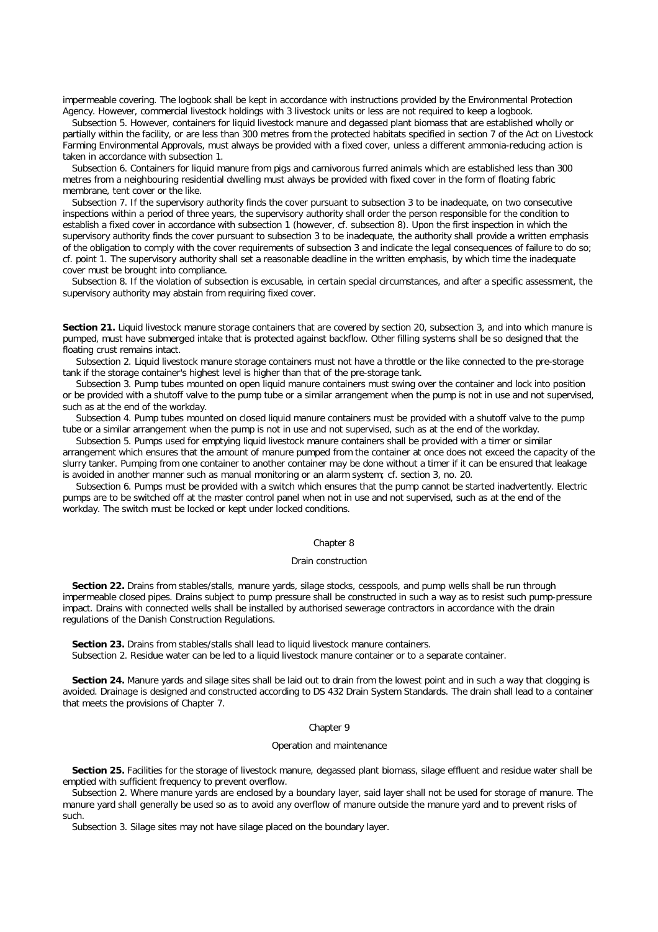impermeable covering. The logbook shall be kept in accordance with instructions provided by the Environmental Protection Agency. However, commercial livestock holdings with 3 livestock units or less are not required to keep a logbook.

*Subsection 5.* However, containers for liquid livestock manure and degassed plant biomass that are established wholly or partially within the facility, or are less than 300 metres from the protected habitats specified in section 7 of the Act on Livestock Farming Environmental Approvals, must always be provided with a fixed cover, unless a different ammonia-reducing action is taken in accordance with subsection 1.

*Subsection 6.* Containers for liquid manure from pigs and carnivorous furred animals which are established less than 300 metres from a neighbouring residential dwelling must always be provided with fixed cover in the form of floating fabric membrane, tent cover or the like.

*Subsection 7.* If the supervisory authority finds the cover pursuant to subsection 3 to be inadequate, on two consecutive inspections within a period of three years, the supervisory authority shall order the person responsible for the condition to establish a fixed cover in accordance with subsection 1 (however, cf. subsection 8). Upon the first inspection in which the supervisory authority finds the cover pursuant to subsection 3 to be inadequate, the authority shall provide a written emphasis of the obligation to comply with the cover requirements of subsection 3 and indicate the legal consequences of failure to do so; cf. point 1. The supervisory authority shall set a reasonable deadline in the written emphasis, by which time the inadequate cover must be brought into compliance.

*Subsection 8*. If the violation of subsection is excusable, in certain special circumstances, and after a specific assessment, the supervisory authority may abstain from requiring fixed cover.

**Section 21.** Liquid livestock manure storage containers that are covered by section 20, subsection 3, and into which manure is pumped, must have submerged intake that is protected against backflow. Other filling systems shall be so designed that the floating crust remains intact.

*Subsection 2.* Liquid livestock manure storage containers must not have a throttle or the like connected to the pre-storage tank if the storage container's highest level is higher than that of the pre-storage tank.

*Subsection 3.* Pump tubes mounted on open liquid manure containers must swing over the container and lock into position or be provided with a shutoff valve to the pump tube or a similar arrangement when the pump is not in use and not supervised, such as at the end of the workday.

*Subsection 4.* Pump tubes mounted on closed liquid manure containers must be provided with a shutoff valve to the pump tube or a similar arrangement when the pump is not in use and not supervised, such as at the end of the workday.

*Subsection 5.* Pumps used for emptying liquid livestock manure containers shall be provided with a timer or similar arrangement which ensures that the amount of manure pumped from the container at once does not exceed the capacity of the slurry tanker. Pumping from one container to another container may be done without a timer if it can be ensured that leakage is avoided in another manner such as manual monitoring or an alarm system; cf. section 3, no. 20.

*Subsection 6.* Pumps must be provided with a switch which ensures that the pump cannot be started inadvertently. Electric pumps are to be switched off at the master control panel when not in use and not supervised, such as at the end of the workday. The switch must be locked or kept under locked conditions.

# Chapter 8

# *Drain construction*

**Section 22.** Drains from stables/stalls, manure yards, silage stocks, cesspools, and pump wells shall be run through impermeable closed pipes. Drains subject to pump pressure shall be constructed in such a way as to resist such pump-pressure impact. Drains with connected wells shall be installed by authorised sewerage contractors in accordance with the drain regulations of the Danish Construction Regulations.

**Section 23.** Drains from stables/stalls shall lead to liquid livestock manure containers. *Subsection 2.* Residue water can be led to a liquid livestock manure container or to a separate container.

**Section 24.** Manure yards and silage sites shall be laid out to drain from the lowest point and in such a way that clogging is avoided. Drainage is designed and constructed according to DS 432 Drain System Standards. The drain shall lead to a container that meets the provisions of Chapter 7.

# Chapter 9

## *Operation and maintenance*

**Section 25.** Facilities for the storage of livestock manure, degassed plant biomass, silage effluent and residue water shall be emptied with sufficient frequency to prevent overflow.

*Subsection 2.* Where manure yards are enclosed by a boundary layer, said layer shall not be used for storage of manure. The manure yard shall generally be used so as to avoid any overflow of manure outside the manure yard and to prevent risks of such.

*Subsection 3.* Silage sites may not have silage placed on the boundary layer.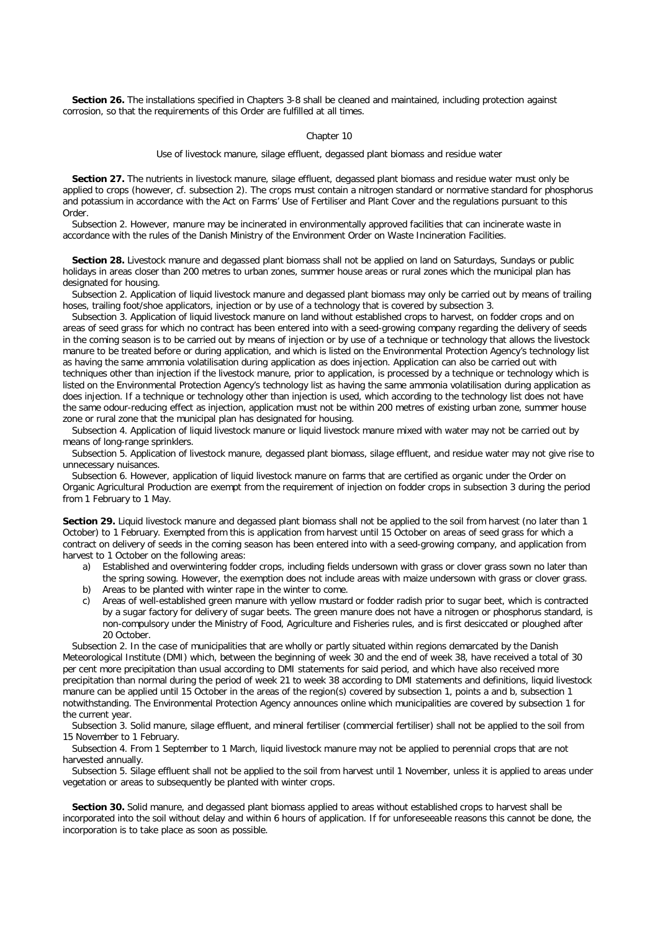**Section 26.** The installations specified in Chapters 3-8 shall be cleaned and maintained, including protection against corrosion, so that the requirements of this Order are fulfilled at all times.

#### Chapter 10

*Use of livestock manure, silage effluent, degassed plant biomass and residue water*

**Section 27.** The nutrients in livestock manure, silage effluent, degassed plant biomass and residue water must only be applied to crops (however, cf. subsection 2). The crops must contain a nitrogen standard or normative standard for phosphorus and potassium in accordance with the Act on Farms' Use of Fertiliser and Plant Cover and the regulations pursuant to this Order.

*Subsection 2.* However, manure may be incinerated in environmentally approved facilities that can incinerate waste in accordance with the rules of the Danish Ministry of the Environment Order on Waste Incineration Facilities.

**Section 28.** Livestock manure and degassed plant biomass shall not be applied on land on Saturdays, Sundays or public holidays in areas closer than 200 metres to urban zones, summer house areas or rural zones which the municipal plan has designated for housing.

*Subsection 2.* Application of liquid livestock manure and degassed plant biomass may only be carried out by means of trailing hoses, trailing foot/shoe applicators, injection or by use of a technology that is covered by subsection 3.

*Subsection 3.* Application of liquid livestock manure on land without established crops to harvest, on fodder crops and on areas of seed grass for which no contract has been entered into with a seed-growing company regarding the delivery of seeds in the coming season is to be carried out by means of injection or by use of a technique or technology that allows the livestock manure to be treated before or during application, and which is listed on the Environmental Protection Agency's technology list as having the same ammonia volatilisation during application as does injection. Application can also be carried out with techniques other than injection if the livestock manure, prior to application, is processed by a technique or technology which is listed on the Environmental Protection Agency's technology list as having the same ammonia volatilisation during application as does injection. If a technique or technology other than injection is used, which according to the technology list does not have the same odour-reducing effect as injection, application must not be within 200 metres of existing urban zone, summer house zone or rural zone that the municipal plan has designated for housing.

*Subsection 4.* Application of liquid livestock manure or liquid livestock manure mixed with water may not be carried out by means of long-range sprinklers.

*Subsection 5.* Application of livestock manure, degassed plant biomass, silage effluent, and residue water may not give rise to unnecessary nuisances.

*Subsection 6.* However, application of liquid livestock manure on farms that are certified as organic under the Order on Organic Agricultural Production are exempt from the requirement of injection on fodder crops in subsection 3 during the period from 1 February to 1 May.

**Section 29.** Liquid livestock manure and degassed plant biomass shall not be applied to the soil from harvest (no later than 1 October) to 1 February. Exempted from this is application from harvest until 15 October on areas of seed grass for which a contract on delivery of seeds in the coming season has been entered into with a seed-growing company, and application from harvest to 1 October on the following areas:

- a) Established and overwintering fodder crops, including fields undersown with grass or clover grass sown no later than the spring sowing. However, the exemption does not include areas with maize undersown with grass or clover grass.
- b) Areas to be planted with winter rape in the winter to come.
- c) Areas of well-established green manure with yellow mustard or fodder radish prior to sugar beet, which is contracted by a sugar factory for delivery of sugar beets. The green manure does not have a nitrogen or phosphorus standard, is non-compulsory under the Ministry of Food, Agriculture and Fisheries rules, and is first desiccated or ploughed after 20 October.

*Subsection 2.* In the case of municipalities that are wholly or partly situated within regions demarcated by the Danish Meteorological Institute (DMI) which, between the beginning of week 30 and the end of week 38, have received a total of 30 per cent more precipitation than usual according to DMI statements for said period, and which have also received more precipitation than normal during the period of week 21 to week 38 according to DMI statements and definitions, liquid livestock manure can be applied until 15 October in the areas of the region(s) covered by subsection 1, points a and b, subsection 1 notwithstanding. The Environmental Protection Agency announces online which municipalities are covered by subsection 1 for the current year.

*Subsection 3.* Solid manure, silage effluent, and mineral fertiliser (commercial fertiliser) shall not be applied to the soil from 15 November to 1 February.

*Subsection 4.* From 1 September to 1 March, liquid livestock manure may not be applied to perennial crops that are not harvested annually.

*Subsection 5.* Silage effluent shall not be applied to the soil from harvest until 1 November, unless it is applied to areas under vegetation or areas to subsequently be planted with winter crops.

**Section 30.** Solid manure, and degassed plant biomass applied to areas without established crops to harvest shall be incorporated into the soil without delay and within 6 hours of application. If for unforeseeable reasons this cannot be done, the incorporation is to take place as soon as possible.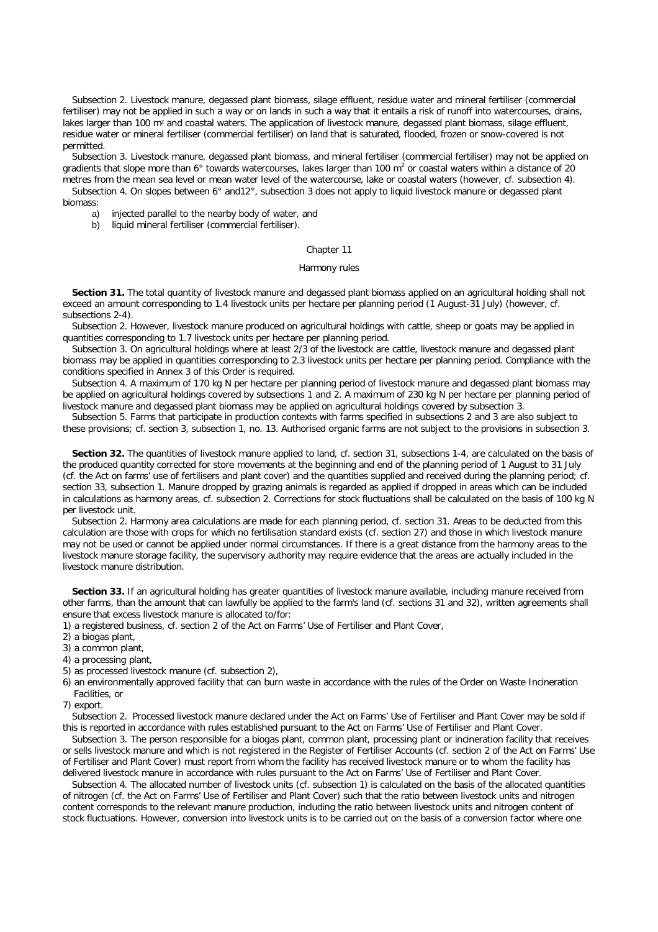*Subsection 2.* Livestock manure, degassed plant biomass, silage effluent, residue water and mineral fertiliser (commercial fertiliser) may not be applied in such a way or on lands in such a way that it entails a risk of runoff into watercourses, drains, lakes larger than 100 m<sup>2</sup> and coastal waters. The application of livestock manure, degassed plant biomass, silage effluent, residue water or mineral fertiliser (commercial fertiliser) on land that is saturated, flooded, frozen or snow-covered is not permitted.

*Subsection 3.* Livestock manure, degassed plant biomass, and mineral fertiliser (commercial fertiliser) may not be applied on gradients that slope more than 6° towards watercourses, lakes larger than 100 m<sup>2</sup> or coastal waters within a distance of 20 metres from the mean sea level or mean water level of the watercourse, lake or coastal waters (however, cf. subsection 4).

*Subsection 4.* On slopes between 6° and12°, subsection 3 does not apply to liquid livestock manure or degassed plant biomass:

- a) injected parallel to the nearby body of water, and
- b) liquid mineral fertiliser (commercial fertiliser).

#### Chapter 11

#### *Harmony rules*

**Section 31.** The total quantity of livestock manure and degassed plant biomass applied on an agricultural holding shall not exceed an amount corresponding to 1.4 livestock units per hectare per planning period (1 August-31 July) (however, cf. subsections 2-4).

*Subsection 2.* However, livestock manure produced on agricultural holdings with cattle, sheep or goats may be applied in quantities corresponding to 1.7 livestock units per hectare per planning period.

*Subsection 3.* On agricultural holdings where at least 2/3 of the livestock are cattle, livestock manure and degassed plant biomass may be applied in quantities corresponding to 2.3 livestock units per hectare per planning period. Compliance with the conditions specified in Annex 3 of this Order is required.

*Subsection 4.* A maximum of 170 kg N per hectare per planning period of livestock manure and degassed plant biomass may be applied on agricultural holdings covered by subsections 1 and 2. A maximum of 230 kg N per hectare per planning period of livestock manure and degassed plant biomass may be applied on agricultural holdings covered by subsection 3.

*Subsection 5.* Farms that participate in production contexts with farms specified in subsections 2 and 3 are also subject to these provisions; cf. section 3, subsection 1, no. 13. Authorised organic farms are not subject to the provisions in subsection 3.

**Section 32.** The quantities of livestock manure applied to land, cf. section 31, subsections 1-4, are calculated on the basis of the produced quantity corrected for store movements at the beginning and end of the planning period of 1 August to 31 July (cf. the Act on farms' use of fertilisers and plant cover) and the quantities supplied and received during the planning period; cf. section 33, subsection 1. Manure dropped by grazing animals is regarded as applied if dropped in areas which can be included in calculations as harmony areas, cf. subsection 2. Corrections for stock fluctuations shall be calculated on the basis of 100 kg N per livestock unit.

*Subsection 2.* Harmony area calculations are made for each planning period, cf. section 31. Areas to be deducted from this calculation are those with crops for which no fertilisation standard exists (cf. section 27) and those in which livestock manure may not be used or cannot be applied under normal circumstances. If there is a great distance from the harmony areas to the livestock manure storage facility, the supervisory authority may require evidence that the areas are actually included in the livestock manure distribution.

**Section 33.** If an agricultural holding has greater quantities of livestock manure available, including manure received from other farms, than the amount that can lawfully be applied to the farm's land (cf. sections 31 and 32), written agreements shall ensure that excess livestock manure is allocated to/for:

1) a registered business, cf. section 2 of the Act on Farms' Use of Fertiliser and Plant Cover,

2) a biogas plant,

3) a common plant,

- 4) a processing plant,
- 5) as processed livestock manure (cf. subsection 2),

6) an environmentally approved facility that can burn waste in accordance with the rules of the Order on Waste Incineration Facilities, or

7) export.

*Subsection 2.* Processed livestock manure declared under the Act on Farms' Use of Fertiliser and Plant Cover may be sold if this is reported in accordance with rules established pursuant to the Act on Farms' Use of Fertiliser and Plant Cover.

*Subsection 3.* The person responsible for a biogas plant, common plant, processing plant or incineration facility that receives or sells livestock manure and which is not registered in the Register of Fertiliser Accounts (cf. section 2 of the Act on Farms' Use of Fertiliser and Plant Cover) must report from whom the facility has received livestock manure or to whom the facility has delivered livestock manure in accordance with rules pursuant to the Act on Farms' Use of Fertiliser and Plant Cover.

*Subsection 4.* The allocated number of livestock units (cf. subsection 1) is calculated on the basis of the allocated quantities of nitrogen (cf. the Act on Farms' Use of Fertiliser and Plant Cover) such that the ratio between livestock units and nitrogen content corresponds to the relevant manure production, including the ratio between livestock units and nitrogen content of stock fluctuations. However, conversion into livestock units is to be carried out on the basis of a conversion factor where one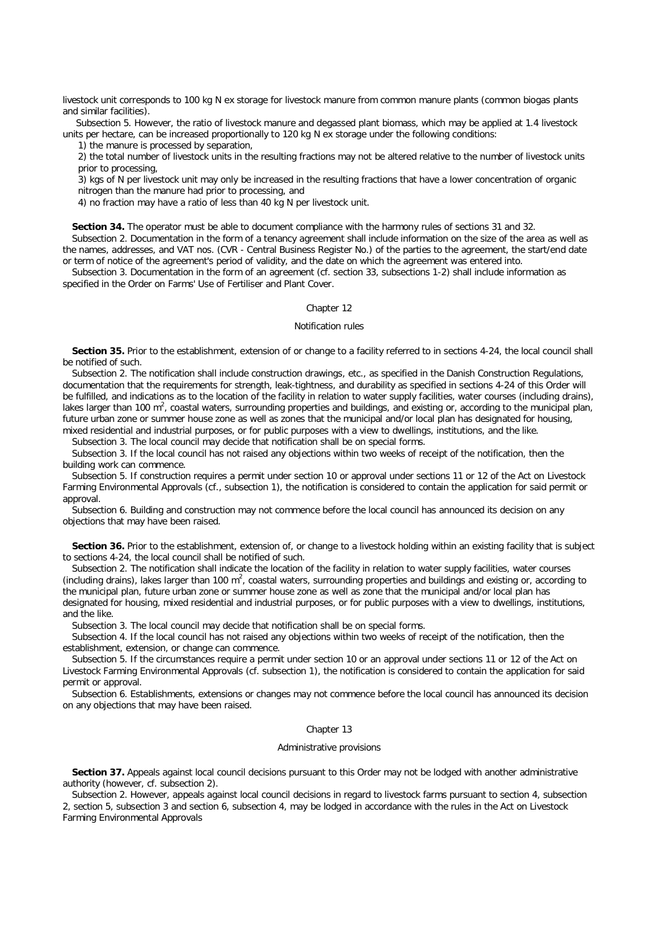livestock unit corresponds to 100 kg N ex storage for livestock manure from common manure plants (common biogas plants and similar facilities).

*Subsection 5.* However, the ratio of livestock manure and degassed plant biomass, which may be applied at 1.4 livestock units per hectare, can be increased proportionally to 120 kg N ex storage under the following conditions:

1) the manure is processed by separation,

2) the total number of livestock units in the resulting fractions may not be altered relative to the number of livestock units prior to processing,

3) kgs of N per livestock unit may only be increased in the resulting fractions that have a lower concentration of organic nitrogen than the manure had prior to processing, and

4) no fraction may have a ratio of less than 40 kg N per livestock unit.

**Section 34.** The operator must be able to document compliance with the harmony rules of sections 31 and 32.

*Subsection 2.* Documentation in the form of a tenancy agreement shall include information on the size of the area as well as the names, addresses, and VAT nos. (CVR - Central Business Register No.) of the parties to the agreement, the start/end date or term of notice of the agreement's period of validity, and the date on which the agreement was entered into.

*Subsection 3.* Documentation in the form of an agreement (cf. section 33, subsections 1-2) shall include information as specified in the Order on Farms' Use of Fertiliser and Plant Cover.

# Chapter 12

## *Notification rules*

**Section 35.** Prior to the establishment, extension of or change to a facility referred to in sections 4-24, the local council shall be notified of such.

*Subsection 2.* The notification shall include construction drawings, etc., as specified in the Danish Construction Regulations, documentation that the requirements for strength, leak-tightness, and durability as specified in sections 4-24 of this Order will be fulfilled, and indications as to the location of the facility in relation to water supply facilities, water courses (including drains), lakes larger than 100 m<sup>2</sup>, coastal waters, surrounding properties and buildings, and existing or, according to the municipal plan, future urban zone or summer house zone as well as zones that the municipal and/or local plan has designated for housing, mixed residential and industrial purposes, or for public purposes with a view to dwellings, institutions, and the like.

*Subsection 3.* The local council may decide that notification shall be on special forms.

*Subsection 3.* If the local council has not raised any objections within two weeks of receipt of the notification, then the building work can commence.

*Subsection 5.* If construction requires a permit under section 10 or approval under sections 11 or 12 of the Act on Livestock Farming Environmental Approvals (cf., subsection 1), the notification is considered to contain the application for said permit or approval.

*Subsection 6.* Building and construction may not commence before the local council has announced its decision on any objections that may have been raised.

**Section 36.** Prior to the establishment, extension of, or change to a livestock holding within an existing facility that is subject to sections 4-24, the local council shall be notified of such.

*Subsection 2.* The notification shall indicate the location of the facility in relation to water supply facilities, water courses (including drains), lakes larger than 100 m<sup>2</sup>, coastal waters, surrounding properties and buildings and existing or, according to the municipal plan, future urban zone or summer house zone as well as zone that the municipal and/or local plan has designated for housing, mixed residential and industrial purposes, or for public purposes with a view to dwellings, institutions, and the like.

*Subsection 3.* The local council may decide that notification shall be on special forms.

*Subsection 4.* If the local council has not raised any objections within two weeks of receipt of the notification, then the establishment, extension, or change can commence.

*Subsection 5.* If the circumstances require a permit under section 10 or an approval under sections 11 or 12 of the Act on Livestock Farming Environmental Approvals (cf. subsection 1), the notification is considered to contain the application for said permit or approval.

*Subsection 6.* Establishments, extensions or changes may not commence before the local council has announced its decision on any objections that may have been raised.

## Chapter 13

#### *Administrative provisions*

**Section 37.** Appeals against local council decisions pursuant to this Order may not be lodged with another administrative authority (however, cf. subsection 2).

*Subsection 2.* However, appeals against local council decisions in regard to livestock farms pursuant to section 4, subsection 2, section 5, subsection 3 and section 6, subsection 4, may be lodged in accordance with the rules in the Act on Livestock Farming Environmental Approvals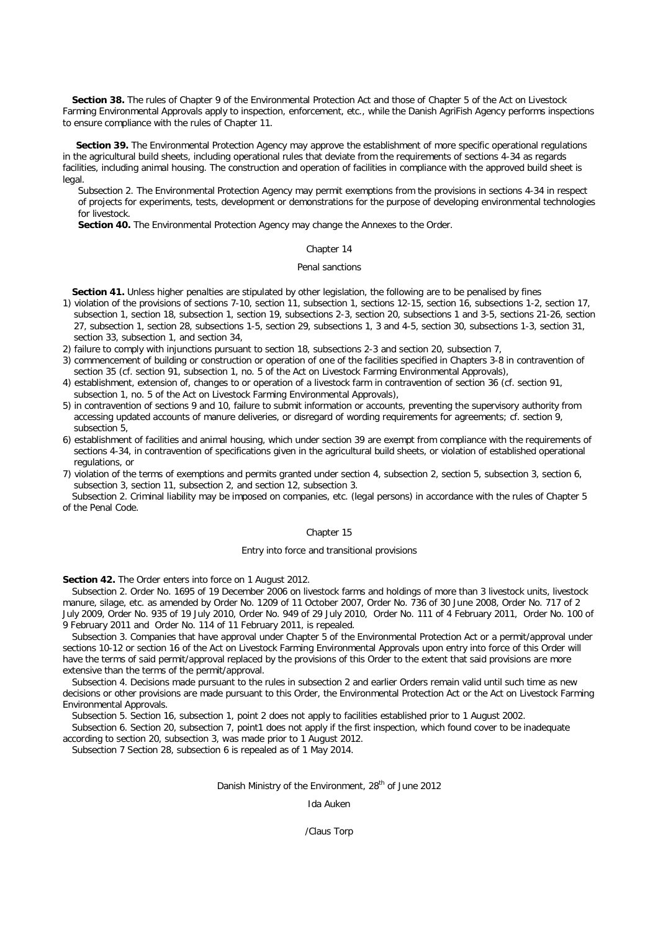**Section 38.** The rules of Chapter 9 of the Environmental Protection Act and those of Chapter 5 of the Act on Livestock Farming Environmental Approvals apply to inspection, enforcement, etc., while the Danish AgriFish Agency performs inspections to ensure compliance with the rules of Chapter 11.

**Section 39.** The Environmental Protection Agency may approve the establishment of more specific operational regulations in the agricultural build sheets, including operational rules that deviate from the requirements of sections 4-34 as regards facilities, including animal housing. The construction and operation of facilities in compliance with the approved build sheet is legal.

*Subsection 2.* The Environmental Protection Agency may permit exemptions from the provisions in sections 4-34 in respect of projects for experiments, tests, development or demonstrations for the purpose of developing environmental technologies for livestock.

**Section 40.** The Environmental Protection Agency may change the Annexes to the Order.

## Chapter 14

#### *Penal sanctions*

**Section 41.** Unless higher penalties are stipulated by other legislation, the following are to be penalised by fines

- 1) violation of the provisions of sections 7-10, section 11, subsection 1, sections 12-15, section 16, subsections 1-2, section 17, subsection 1, section 18, subsection 1, section 19, subsections 2-3, section 20, subsections 1 and 3-5, sections 21-26, section 27, subsection 1, section 28, subsections 1-5, section 29, subsections 1, 3 and 4-5, section 30, subsections 1-3, section 31, section 33, subsection 1, and section 34,
- 2) failure to comply with injunctions pursuant to section 18, subsections 2-3 and section 20, subsection 7,
- 3) commencement of building or construction or operation of one of the facilities specified in Chapters 3-8 in contravention of section 35 (cf. section 91, subsection 1, no. 5 of the Act on Livestock Farming Environmental Approvals),
- 4) establishment, extension of, changes to or operation of a livestock farm in contravention of section 36 (cf. section 91, subsection 1, no. 5 of the Act on Livestock Farming Environmental Approvals),
- 5) in contravention of sections 9 and 10, failure to submit information or accounts, preventing the supervisory authority from accessing updated accounts of manure deliveries, or disregard of wording requirements for agreements; cf. section 9, subsection 5,
- 6) establishment of facilities and animal housing, which under section 39 are exempt from compliance with the requirements of sections 4-34, in contravention of specifications given in the agricultural build sheets, or violation of established operational regulations, or
- 7) violation of the terms of exemptions and permits granted under section 4, subsection 2, section 5, subsection 3, section 6, subsection 3, section 11, subsection 2, and section 12, subsection 3.

*Subsection 2.* Criminal liability may be imposed on companies, etc. (legal persons) in accordance with the rules of Chapter 5 of the Penal Code.

# Chapter 15

# *Entry into force and transitional provisions*

**Section 42.** The Order enters into force on 1 August 2012.

*Subsection 2.* Order No. 1695 of 19 December 2006 on livestock farms and holdings of more than 3 livestock units, livestock manure, silage, etc. as amended by Order No. 1209 of 11 October 2007, Order No. 736 of 30 June 2008, Order No. 717 of 2 July 2009, Order No. 935 of 19 July 2010, Order No. 949 of 29 July 2010, Order No. 111 of 4 February 2011, Order No. 100 of 9 February 2011 and Order No. 114 of 11 February 2011, is repealed.

*Subsection 3.* Companies that have approval under Chapter 5 of the Environmental Protection Act or a permit/approval under sections 10-12 or section 16 of the Act on Livestock Farming Environmental Approvals upon entry into force of this Order will have the terms of said permit/approval replaced by the provisions of this Order to the extent that said provisions are more extensive than the terms of the permit/approval.

*Subsection 4.* Decisions made pursuant to the rules in subsection 2 and earlier Orders remain valid until such time as new decisions or other provisions are made pursuant to this Order, the Environmental Protection Act or the Act on Livestock Farming Environmental Approvals.

*Subsection 5.* Section 16, subsection 1, point 2 does not apply to facilities established prior to 1 August 2002.

*Subsection 6.* Section 20, subsection 7, point1 does not apply if the first inspection, which found cover to be inadequate according to section 20, subsection 3, was made prior to 1 August 2012.

*Subsection 7* Section 28, subsection 6 is repealed as of 1 May 2014.

#### *Danish Ministry of the Environment, 28th of June 2012*

# Ida Auken

# /Claus Torp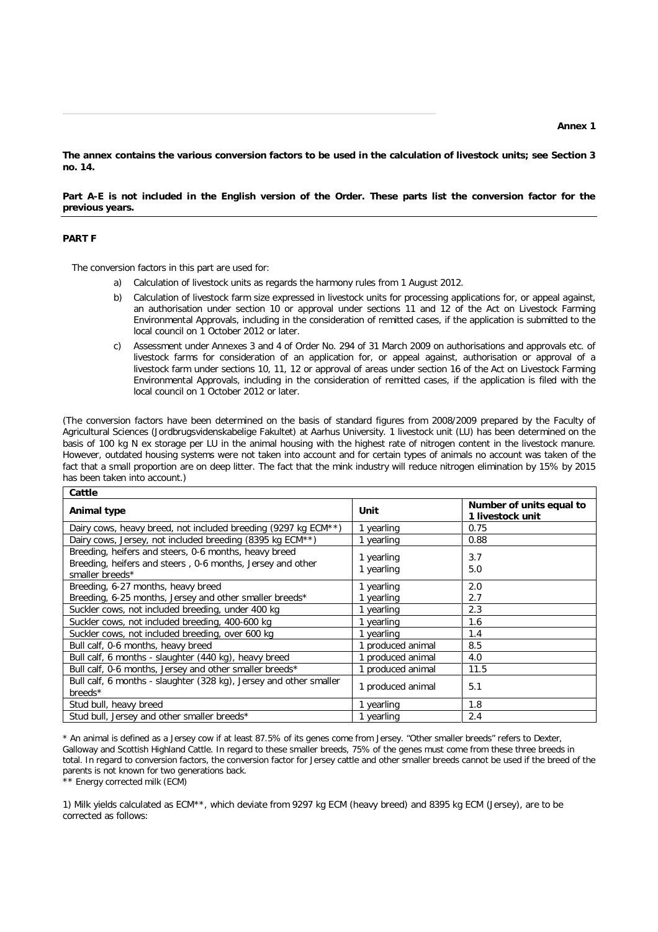**The annex contains the various conversion factors to be used in the calculation of livestock units; see Section 3 no. 14.**

**Part A-E is not included in the English version of the Order. These parts list the conversion factor for the previous years.** 

# **PART F**

The conversion factors in this part are used for:

- a) Calculation of livestock units as regards the harmony rules from 1 August 2012.
- b) Calculation of livestock farm size expressed in livestock units for processing applications for, or appeal against, an authorisation under section 10 or approval under sections 11 and 12 of the Act on Livestock Farming Environmental Approvals, including in the consideration of remitted cases, if the application is submitted to the local council on 1 October 2012 or later.
- c) Assessment under Annexes 3 and 4 of Order No. 294 of 31 March 2009 on authorisations and approvals etc. of livestock farms for consideration of an application for, or appeal against, authorisation or approval of a livestock farm under sections 10, 11, 12 or approval of areas under section 16 of the Act on Livestock Farming Environmental Approvals, including in the consideration of remitted cases, if the application is filed with the local council on 1 October 2012 or later.

(The conversion factors have been determined on the basis of standard figures from 2008/2009 prepared by the Faculty of Agricultural Sciences (Jordbrugsvidenskabelige Fakultet) at Aarhus University. 1 livestock unit (LU) has been determined on the basis of 100 kg N ex storage per LU in the animal housing with the highest rate of nitrogen content in the livestock manure. However, outdated housing systems were not taken into account and for certain types of animals no account was taken of the fact that a small proportion are on deep litter. The fact that the mink industry will reduce nitrogen elimination by 15% by 2015 has been taken into account.)

| Cattle                                                                                                                                 |                          |                                              |  |  |
|----------------------------------------------------------------------------------------------------------------------------------------|--------------------------|----------------------------------------------|--|--|
| Animal type                                                                                                                            | Unit                     | Number of units equal to<br>1 livestock unit |  |  |
| Dairy cows, heavy breed, not included breeding (9297 kg ECM**)                                                                         | 1 yearling               | 0.75                                         |  |  |
| Dairy cows, Jersey, not included breeding (8395 kg ECM**)                                                                              | 1 yearling               | 0.88                                         |  |  |
| Breeding, heifers and steers, 0-6 months, heavy breed<br>Breeding, heifers and steers, 0-6 months, Jersey and other<br>smaller breeds* | 1 yearling<br>1 yearling | 3.7<br>5.0                                   |  |  |
| Breeding, 6-27 months, heavy breed                                                                                                     | 1 yearling               | 2.0                                          |  |  |
| Breeding, 6-25 months, Jersey and other smaller breeds*                                                                                | 1 yearling               | 2.7                                          |  |  |
| Suckler cows, not included breeding, under 400 kg                                                                                      | 1 yearling               | 2.3                                          |  |  |
| Suckler cows, not included breeding, 400-600 kg                                                                                        | 1 yearling               | 1.6                                          |  |  |
| Suckler cows, not included breeding, over 600 kg                                                                                       | 1 yearling               | 1.4                                          |  |  |
| Bull calf, 0-6 months, heavy breed                                                                                                     | produced animal          | 8.5                                          |  |  |
| Bull calf, 6 months - slaughter (440 kg), heavy breed                                                                                  | produced animal          | 4.0                                          |  |  |
| Bull calf, 0-6 months, Jersey and other smaller breeds*                                                                                | produced animal          | 11.5                                         |  |  |
| Bull calf, 6 months - slaughter (328 kg), Jersey and other smaller<br>breeds*                                                          | 1 produced animal        | 5.1                                          |  |  |
| Stud bull, heavy breed                                                                                                                 | 1 yearling               | 1.8                                          |  |  |
| Stud bull, Jersey and other smaller breeds*                                                                                            | 1 yearling               | 2.4                                          |  |  |

*\* An animal is defined as a Jersey cow if at least 87.5% of its genes come from Jersey. "Other smaller breeds" refers to Dexter, Galloway and Scottish Highland Cattle. In regard to these smaller breeds, 75% of the genes must come from these three breeds in*  total. In regard to conversion factors, the conversion factor for Jersey cattle and other smaller breeds cannot be used if the breed of the *parents is not known for two generations back.*

\*\* *Energy corrected milk (ECM)*

1) Milk yields calculated as ECM\*\*, which deviate from 9297 kg ECM (heavy breed) and 8395 kg ECM (Jersey), are to be corrected as follows: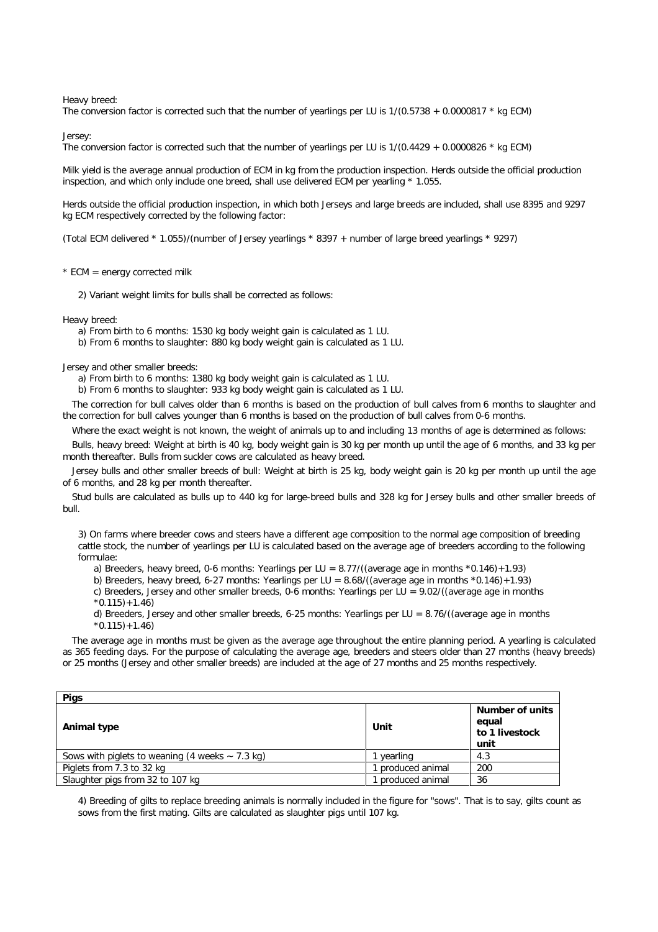*Heavy breed:*

The conversion factor is corrected such that the number of yearlings per LU is  $1/(0.5738 + 0.0000817 * kg$  ECM)

*Jersey:*

The conversion factor is corrected such that the number of yearlings per LU is 1/(0.4429 + 0.0000826 \* kg ECM)

Milk yield is the average annual production of ECM in kg from the production inspection. Herds outside the official production inspection, and which only include one breed, shall use delivered ECM per yearling \* 1.055.

Herds outside the official production inspection, in which both Jerseys and large breeds are included, shall use 8395 and 9297 kg ECM respectively corrected by the following factor:

(Total ECM delivered \* 1.055)/(number of Jersey yearlings \* 8397 + number of large breed yearlings \* 9297)

 $*$  ECM = energy corrected milk

2) Variant weight limits for bulls shall be corrected as follows:

*Heavy breed:*

a) From birth to 6 months: 1530 kg body weight gain is calculated as 1 LU.

b) From 6 months to slaughter: 880 kg body weight gain is calculated as 1 LU.

*Jersey and other smaller breeds:*

a) From birth to 6 months: 1380 kg body weight gain is calculated as 1 LU.

b) From 6 months to slaughter: 933 kg body weight gain is calculated as 1 LU.

The correction for bull calves older than 6 months is based on the production of bull calves from 6 months to slaughter and the correction for bull calves younger than 6 months is based on the production of bull calves from 0-6 months.

Where the exact weight is not known, the weight of animals up to and including 13 months of age is determined as follows:

Bulls, heavy breed: Weight at birth is 40 kg, body weight gain is 30 kg per month up until the age of 6 months, and 33 kg per month thereafter. Bulls from suckler cows are calculated as heavy breed.

Jersey bulls and other smaller breeds of bull: Weight at birth is 25 kg, body weight gain is 20 kg per month up until the age of 6 months, and 28 kg per month thereafter.

Stud bulls are calculated as bulls up to 440 kg for large-breed bulls and 328 kg for Jersey bulls and other smaller breeds of bull.

3) On farms where breeder cows and steers have a different age composition to the normal age composition of breeding cattle stock, the number of yearlings per LU is calculated based on the average age of breeders according to the following formulae:

a) Breeders, heavy breed, 0-6 months: Yearlings per LU =  $8.77/$  (average age in months  $*0.146$ ) + 1.93)

b) Breeders, heavy breed, 6-27 months: Yearlings per LU = 8.68/((average age in months \*0.146)+1.93)

c) Breeders, Jersey and other smaller breeds, 0-6 months: Yearlings per LU =  $9.02/$ ((average age in months

 $*0.115$  + 1.46)

d) Breeders, Jersey and other smaller breeds, 6-25 months: Yearlings per LU =  $8.76/$  (average age in months  $*0.115$  + 1.46)

The average age in months must be given as the average age throughout the entire planning period. A yearling is calculated as 365 feeding days. For the purpose of calculating the average age, breeders and steers older than 27 months (heavy breeds) or 25 months (Jersey and other smaller breeds) are included at the age of 27 months and 25 months respectively.

| <b>Pigs</b>                                                          |                 |                                                           |
|----------------------------------------------------------------------|-----------------|-----------------------------------------------------------|
| Animal type                                                          | Unit            | <b>Number of units</b><br>equal<br>to 1 livestock<br>unit |
| Sows with piglets to weaning $(4 \text{ weeks} \sim 7.3 \text{ kg})$ | vearling        | 4.3                                                       |
| Piglets from 7.3 to 32 kg                                            | produced animal | 200                                                       |
| Slaughter pigs from 32 to 107 kg                                     | produced animal | 36                                                        |

4) Breeding of gilts to replace breeding animals is normally included in the figure for "sows". That is to say, gilts count as sows from the first mating. Gilts are calculated as slaughter pigs until 107 kg.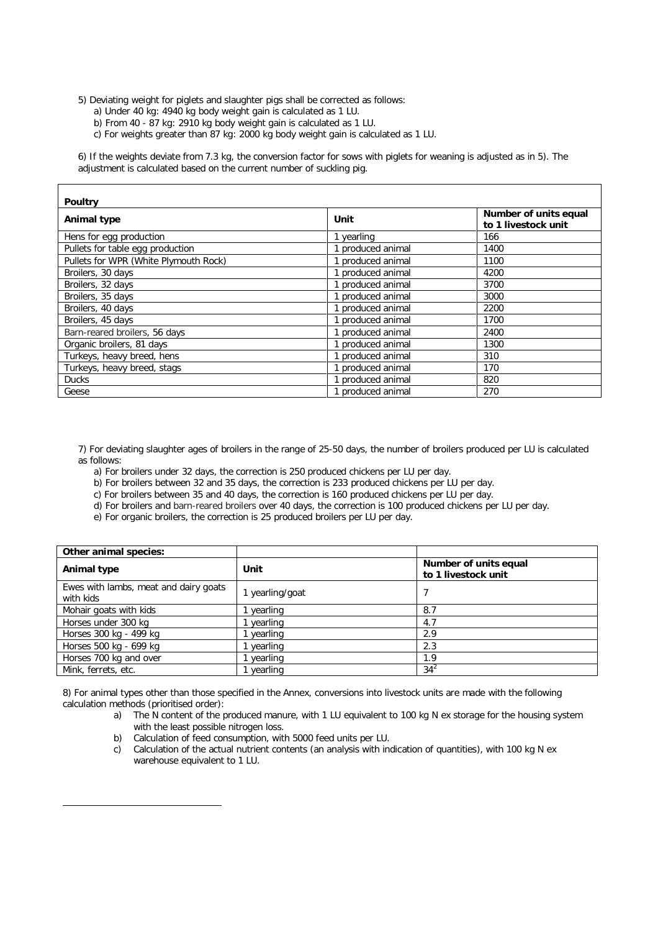5) Deviating weight for piglets and slaughter pigs shall be corrected as follows:

- a) Under 40 kg: 4940 kg body weight gain is calculated as 1 LU.
- b) From 40 87 kg: 2910 kg body weight gain is calculated as 1 LU.
- c) For weights greater than 87 kg: 2000 kg body weight gain is calculated as 1 LU.

6) If the weights deviate from 7.3 kg, the conversion factor for sows with piglets for weaning is adjusted as in 5). The adjustment is calculated based on the current number of suckling pig.

| <b>Poultry</b>                        |                 |                                              |  |  |
|---------------------------------------|-----------------|----------------------------------------------|--|--|
| <b>Animal type</b>                    | Unit            | Number of units equal<br>to 1 livestock unit |  |  |
| Hens for egg production               | yearling        | 166                                          |  |  |
| Pullets for table egg production      | produced animal | 1400                                         |  |  |
| Pullets for WPR (White Plymouth Rock) | produced animal | 1100                                         |  |  |
| Broilers, 30 days                     | produced animal | 4200                                         |  |  |
| Broilers, 32 days                     | produced animal | 3700                                         |  |  |
| Broilers, 35 days                     | produced animal | 3000                                         |  |  |
| Broilers, 40 days                     | produced animal | 2200                                         |  |  |
| Broilers, 45 days                     | produced animal | 1700                                         |  |  |
| Barn-reared broilers, 56 days         | produced animal | 2400                                         |  |  |
| Organic broilers, 81 days             | produced animal | 1300                                         |  |  |
| Turkeys, heavy breed, hens            | produced animal | 310                                          |  |  |
| Turkeys, heavy breed, stags           | produced animal | 170                                          |  |  |
| <b>Ducks</b>                          | produced animal | 820                                          |  |  |
| Geese                                 | produced animal | 270                                          |  |  |

7) For deviating slaughter ages of broilers in the range of 25-50 days, the number of broilers produced per LU is calculated as follows:

- a) For broilers under 32 days, the correction is 250 produced chickens per LU per day.
- b) For broilers between 32 and 35 days, the correction is 233 produced chickens per LU per day.
- c) For broilers between 35 and 40 days, the correction is 160 produced chickens per LU per day.
- d) For broilers and barn-reared broilers over 40 days, the correction is 100 produced chickens per LU per day.
- e) For organic broilers, the correction is 25 produced broilers per LU per day.

| Other animal species:                              |                 |                                              |
|----------------------------------------------------|-----------------|----------------------------------------------|
| Animal type                                        | Unit            | Number of units equal<br>to 1 livestock unit |
| Ewes with lambs, meat and dairy goats<br>with kids | 1 yearling/goat |                                              |
| Mohair goats with kids                             | yearling        | 8.7                                          |
| Horses under 300 kg                                | yearling        | 4.7                                          |
| Horses 300 kg - 499 kg                             | yearling        | 2.9                                          |
| Horses 500 kg - 699 kg                             | yearling        | 2.3                                          |
| Horses 700 kg and over                             | yearling        | 1.9                                          |
| Mink, ferrets, etc.                                | vearling        | $34^{2}$                                     |

8) For animal types other than those specified in the Annex, conversions into livestock units are made with the following calculation methods (prioritised order):

- a) The N content of the produced manure, with 1 LU equivalent to 100 kg N ex storage for the housing system with the least possible nitrogen loss.
- b) Calculation of feed consumption, with 5000 feed units per LU.

 $\overline{a}$ 

c) Calculation of the actual nutrient contents (an analysis with indication of quantities), with 100 kg N ex warehouse equivalent to 1 LU.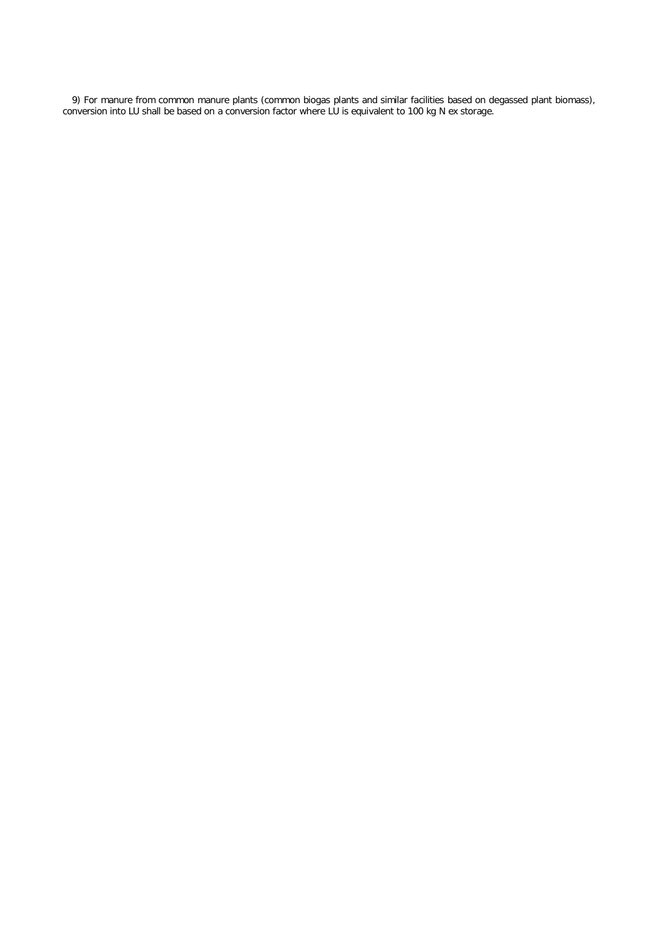9) For manure from common manure plants (common biogas plants and similar facilities based on degassed plant biomass), conversion into LU shall be based on a conversion factor where LU is equivalent to 100 kg N ex storage.